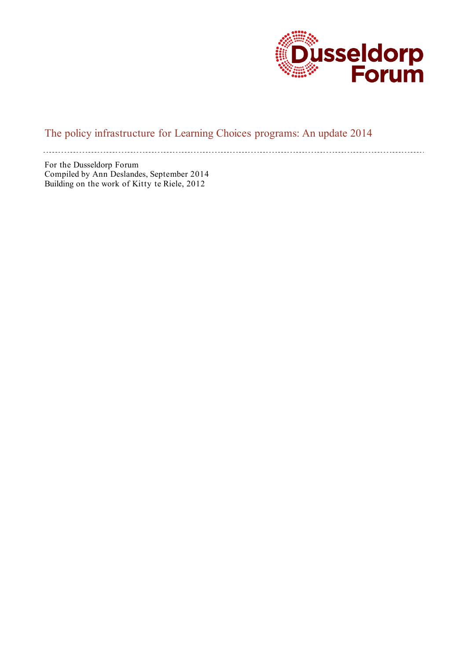

# The policy infrastructure for Learning Choices programs: An update 2014

For the Dusseldorp Forum Compiled by Ann Deslandes, September 2014 Building on the work of Kitty te Riele, 2012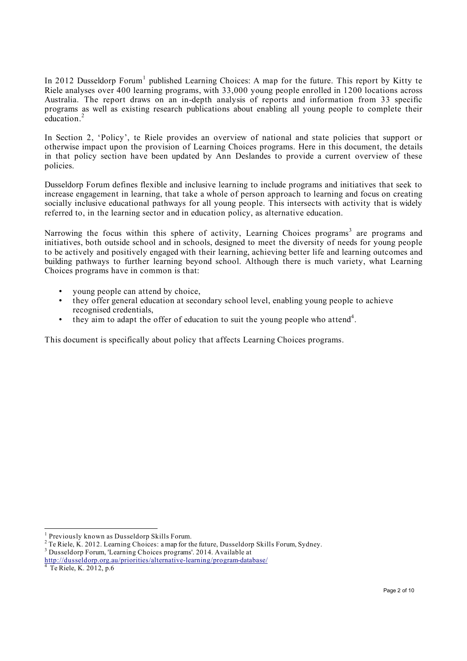In 2012 Dusseldorp Forum<sup>1</sup> published Learning Choices: A map for the future. This report by Kitty te Riele analyses over 400 learning programs, with 33,000 young people enrolled in 1200 locations across Australia. The report draws on an in-depth analysis of reports and information from 33 specific programs as well as existing research publications about enabling all young people to complete their education.<sup>2</sup>

In Section 2, 'Policy', te Riele provides an overview of national and state policies that support or otherwise impact upon the provision of Learning Choices programs. Here in this document, the details in that policy section have been updated by Ann Deslandes to provide a current overview of these policies.

Dusseldorp Forum defines flexible and inclusive learning to include programs and initiatives that seek to increase engagement in learning, that take a whole of person approach to learning and focus on creating socially inclusive educational pathways for all young people. This intersects with activity that is widely referred to, in the learning sector and in education policy, as alternative education.

Narrowing the focus within this sphere of activity, Learning Choices programs<sup>3</sup> are programs and initiatives, both outside school and in schools, designed to meet the diversity of needs for young people to be actively and positively engaged with their learning, achieving better life and learning outcomes and building pathways to further learning beyond school. Although there is much variety, what Learning Choices programs have in common is that:

- young people can attend by choice,<br>they offer general education at second-
- they offer general education at secondary school level, enabling young people to achieve recognised credentials,
- $\bullet$  they aim to adapt the offer of education to suit the young people who attend<sup>4</sup>.

This document is specifically about policy that affects Learning Choices programs.

<sup>&</sup>lt;sup>1</sup> Previously known as Dusseldorp Skills Forum.<br> $\frac{2}{5}$  To Bigle, K, 2012. I genuing Chaiseau a man for the

Te Riele, K. 2012. Learning Choices: a map for the future, Dusseldorp Skills Forum, Sydney.

Dusseldorp Forum, 'Learning Choices programs'. 2014. Available at

http://dusseldorp.org.au/priorities/alternative-learning/program-database/<br>
<sup>4</sup> Te Riele, K. 2012, p.6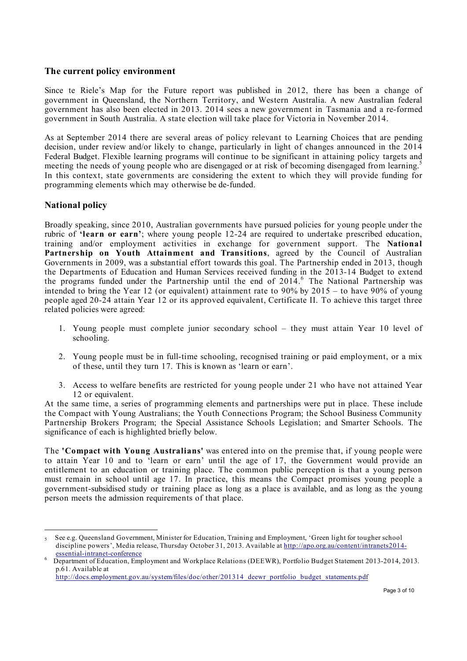### **The current policy environment**

Since te Riele's Map for the Future report was published in 2012, there has been a change of government in Queensland, the Northern Territory, and Western Australia. A new Australian federal government has also been elected in 2013. 2014 sees a new government in Tasmania and a re-formed government in South Australia. A state election will take place for Victoria in November 2014.

As at September 2014 there are several areas of policy relevant to Learning Choices that are pending decision, under review and/or likely to change, particularly in light of changes announced in the 2014 Federal Budget. Flexible learning programs will continue to be significant in attaining policy targets and meeting the needs of young people who are disengaged or at risk of becoming disengaged from learning.<sup>5</sup> In this context, state governments are considering the extent to which they will provide funding for programming elements which may otherwise be de-funded.

## **National policy**

 $\overline{a}$ 

Broadly speaking, since 2010, Australian governments have pursued policies for young people under the rubric of **'learn or earn'**; where young people 12-24 are required to undertake prescribed education, training and/or employment activities in exchange for government support. The **National Partnership on Youth Attainment and Transitions**, agreed by the Council of Australian Governments in 2009, was a substantial effort towards this goal. The Partnership ended in 2013, though the Departments of Education and Human Services received funding in the 2013-14 Budget to extend the programs funded under the Partnership until the end of  $2014$ . <sup>6</sup> The National Partnership was intended to bring the Year 12 (or equivalent) attainment rate to 90% by 2015 – to have 90% of young people aged 20-24 attain Year 12 or its approved equivalent, Certificate II. To achieve this target three related policies were agreed:

- 1. Young people must complete junior secondary school they must attain Year 10 level of schooling.
- 2. Young people must be in full-time schooling, recognised training or paid employment, or a mix of these, until they turn 17. This is known as 'learn or earn'.
- 3. Access to welfare benefits are restricted for young people under 21 who have not attained Year 12 or equivalent.

At the same time, a series of programming elements and partnerships were put in place. These include the Compact with Young Australians; the Youth Connections Program; the School Business Community Partnership Brokers Program; the Special Assistance Schools Legislation; and Smarter Schools. The significance of each is highlighted briefly below.

The **'Compact with Young Australians'** was entered into on the premise that, if young people were to attain Year 10 and to 'learn or earn' until the age of 17, the Government would provide an entitlement to an education or training place. The common public perception is that a young person must remain in school until age 17. In practice, this means the Compact promises young people a government-subsidised study or training place as long as a place is available, and as long as the young person meets the admission requirements of that place.

<sup>5</sup> See e.g. Queensland Government, Minister for Education, Training and Employment, 'Green light for tougher school discipline powers', Media release, Thursday October 31, 2013. Available at http://apo.org.au/content/intranets2014-essential-intranet-conference

Department of Education, Employment and Workplace Relations (DEEWR), Portfolio Budget Statement 2013-2014, 2013. p.61. Available at

http://docs.employment.gov.au/system/files/doc/other/201314\_deewr\_portfolio\_budget\_statements.pdf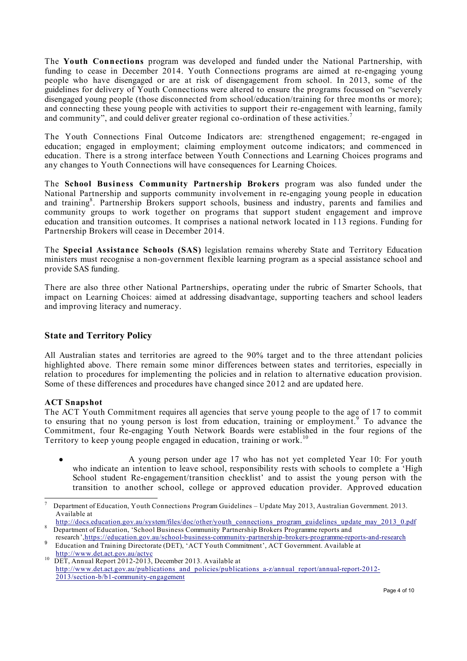The **Youth Connections** program was developed and funded under the National Partnership, with funding to cease in December 2014. Youth Connections programs are aimed at re-engaging young people who have disengaged or are at risk of disengagement from school. In 2013, some of the guidelines for delivery of Youth Connections were altered to ensure the programs focussed on "severely disengaged young people (those disconnected from school/education/training for three months or more); and connecting these young people with activities to support their re-engagement with learning, family and community", and could deliver greater regional co-ordination of these activities.<sup>7</sup>

The Youth Connections Final Outcome Indicators are: strengthened engagement; re-engaged in education; engaged in employment; claiming employment outcome indicators; and commenced in education. There is a strong interface between Youth Connections and Learning Choices programs and any changes to Youth Connections will have consequences for Learning Choices.

The **School Business Community Partnership Brokers** program was also funded under the National Partnership and supports community involvement in re-engaging young people in education and training<sup>8</sup>. Partnership Brokers support schools, business and industry, parents and families and community groups to work together on programs that support student engagement and improve education and transition outcomes. It comprises a national network located in 113 regions. Funding for Partnership Brokers will cease in December 2014.

The **Special Assistance Schools (SAS)** legislation remains whereby State and Territory Education ministers must recognise a non-government flexible learning program as a special assistance school and provide SAS funding.

There are also three other National Partnerships, operating under the rubric of Smarter Schools, that impact on Learning Choices: aimed at addressing disadvantage, supporting teachers and school leaders and improving literacy and numeracy.

## **State and Territory Policy**

All Australian states and territories are agreed to the 90% target and to the three attendant policies highlighted above. There remain some minor differences between states and territories, especially in relation to procedures for implementing the policies and in relation to alternative education provision. Some of these differences and procedures have changed since 2012 and are updated here.

## **ACT Snapshot**

The ACT Youth Commitment requires all agencies that serve young people to the age of 17 to commit to ensuring that no young person is lost from education, training or employment.<sup>9</sup> To advance the Commitment, four Re-engaging Youth Network Boards were established in the four regions of the Territory to keep young people engaged in education, training or work.<sup>10</sup>

● A young person under age 17 who has not yet completed Year 10: For youth who indicate an intention to leave school, responsibility rests with schools to complete a 'High School student Re-engagement/transition checklist' and to assist the young person with the transition to another school, college or approved education provider. Approved education

<sup>.&</sup>lt;br>7 Department of Education, Youth Connections Program Guidelines – Update May 2013, Australian Government. 2013. Available at

http://docs.education.gov.au/system/files/doc/other/youth\_connections\_program\_guidelines\_update\_may\_2013\_0.pdf Bepartment of Education, 'School Business Community Partnership Brokers Programme reports and<br>research '.https://education.gov.au/school-business-community-partnership-brokers-programme-reports-and-research

Feducation and Training Directorate (DET), 'ACT Youth Commitment', ACT Government. Available at http://www.det.act.gov.au/actvc

 $\frac{10}{\text{DET}}$ , Annual Report 2012-2013, December 2013. Available at http://www.det.act.gov.au/publications\_and\_policies/publications\_a-z/annual\_report/annual-report-2012-2013/section-b/b1-community-engagement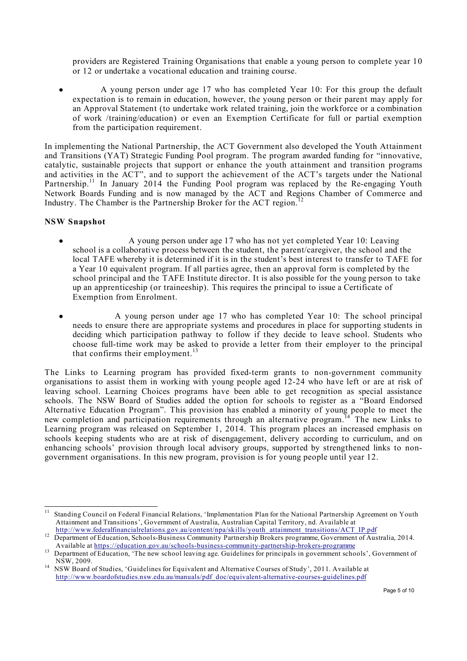providers are Registered Training Organisations that enable a young person to complete year 10 or 12 or undertake a vocational education and training course.

● A young person under age 17 who has completed Year 10: For this group the default expectation is to remain in education, however, the young person or their parent may apply for an Approval Statement (to undertake work related training, join the workforce or a combination of work /training/education) or even an Exemption Certificate for full or partial exemption from the participation requirement.

In implementing the National Partnership, the ACT Government also developed the Youth Attainment and Transitions (YAT) Strategic Funding Pool program. The program awarded funding for "innovative, catalytic, sustainable projects that support or enhance the youth attainment and transition programs and activities in the ACT", and to support the achievement of the ACT's targets under the National Partnership.<sup>11</sup> In January 2014 the Funding Pool program was replaced by the Re-engaging Youth Network Boards Funding and is now managed by the ACT and Regions Chamber of Commerce and Industry. The Chamber is the Partnership Broker for the ACT region.<sup>12</sup>

#### **NSW Snapshot**

- A young person under age 17 who has not yet completed Year 10: Leaving school is a collaborative process between the student, the parent/caregiver, the school and the local TAFE whereby it is determined if it is in the student's best interest to transfer to TAFE for a Year 10 equivalent program. If all parties agree, then an approval form is completed by the school principal and the TAFE Institute director. It is also possible for the young person to take up an apprenticeship (or traineeship). This requires the principal to issue a Certificate of Exemption from Enrolment.
- A young person under age 17 who has completed Year 10: The school principal needs to ensure there are appropriate systems and procedures in place for supporting students in deciding which participation pathway to follow if they decide to leave school. Students who choose full-time work may be asked to provide a letter from their employer to the principal that confirms their employment. $^{13}$

The Links to Learning program has provided fixed-term grants to non-government community organisations to assist them in working with young people aged 12-24 who have left or are at risk of leaving school. Learning Choices programs have been able to get recognition as special assistance schools. The NSW Board of Studies added the option for schools to register as a "Board Endorsed Alternative Education Program". This provision has enabled a minority of young people to meet the new completion and participation requirements through an alternative program.<sup>14</sup> The new Links to Learning program was released on September 1, 2014. This program places an increased emphasis on schools keeping students who are at risk of disengagement, delivery according to curriculum, and on enhancing schools' provision through local advisory groups, supported by strengthened links to nongovernment organisations. In this new program, provision is for young people until year 12.

<sup>&</sup>lt;sup>11</sup> Standing Council on Federal Financial Relations, 'Implementation Plan for the National Partnership Agreement on Youth Attainment and Transitions', Government of Australia, Australian Capital Territory, nd. Available at http://www.federalfinancialrelations.gov.au/content/npa/skills/youth attainment transitions/ACT IP.pdf

http://www.federalfinancialrelations.gov.au/content/npartnership Brokers programme, Government of Australia, 2014.

Available at https://education.gov.au/schools-business-community-partnership-brokers-programme 13 Department of Education, 'The new school leaving age. Guidelines for principals in government schools', Government of

NSW, 2009. 14 NSW Board of Studies, 'Guidelines for Equivalent and Alternative Courses of Study', 2011. Available at http://www.boardofstudies.nsw.edu.au/manuals/pdf\_doc/equivalent-alternative-courses-guidelines.pdf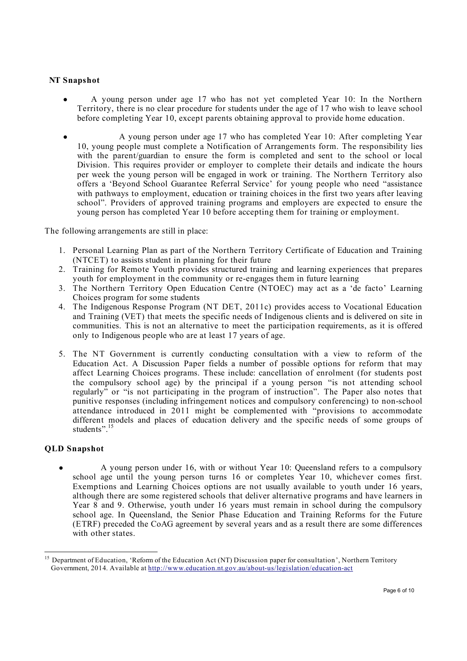#### **NT Snapshot**

- A young person under age 17 who has not yet completed Year 10: In the Northern Territory, there is no clear procedure for students under the age of 17 who wish to leave school before completing Year 10, except parents obtaining approval to provide home education.
- A young person under age 17 who has completed Year 10: After completing Year 10, young people must complete a Notification of Arrangements form. The responsibility lies with the parent/guardian to ensure the form is completed and sent to the school or local Division. This requires provider or employer to complete their details and indicate the hours per week the young person will be engaged in work or training. The Northern Territory also offers a 'Beyond School Guarantee Referral Service' for young people who need "assistance with pathways to employment, education or training choices in the first two years after leaving school". Providers of approved training programs and employers are expected to ensure the young person has completed Year 10 before accepting them for training or employment.

The following arrangements are still in place:

- 1. Personal Learning Plan as part of the Northern Territory Certificate of Education and Training (NTCET) to assists student in planning for their future
- 2. Training for Remote Youth provides structured training and learning experiences that prepares youth for employment in the community or re-engages them in future learning
- 3. The Northern Territory Open Education Centre (NTOEC) may act as a 'de facto' Learning Choices program for some students
- 4. The Indigenous Response Program (NT DET, 2011c) provides access to Vocational Education and Training (VET) that meets the specific needs of Indigenous clients and is delivered on site in communities. This is not an alternative to meet the participation requirements, as it is offered only to Indigenous people who are at least 17 years of age.
- 5. The NT Government is currently conducting consultation with a view to reform of the Education Act. A Discussion Paper fields a number of possible options for reform that may affect Learning Choices programs. These include: cancellation of enrolment (for students post the compulsory school age) by the principal if a young person "is not attending school regularly<sup>3</sup> or "is not participating in the program of instruction". The Paper also notes that punitive responses (including infringement notices and compulsory conferencing) to non-school attendance introduced in 2011 might be complemented with "provisions to accommodate different models and places of education delivery and the specific needs of some groups of students".<sup>15</sup>

#### **QLD Snapshot**

A young person under 16, with or without Year 10: Queensland refers to a compulsory school age until the young person turns 16 or completes Year 10, whichever comes first. Exemptions and Learning Choices options are not usually available to youth under 16 years, although there are some registered schools that deliver alternative programs and have learners in Year 8 and 9. Otherwise, youth under 16 years must remain in school during the compulsory school age. In Queensland, the Senior Phase Education and Training Reforms for the Future (ETRF) preceded the CoAG agreement by several years and as a result there are some differences with other states.

<sup>15</sup> Department of Education, 'Reform of the Education Act (NT) Discussion paper for consultation', Northern Territory Government, 2014. Available at http://www.education.nt.gov.au/about-us/legislation/education-act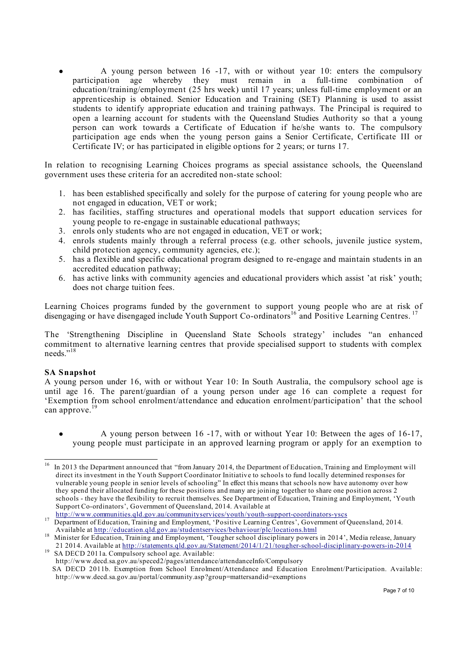A young person between 16 -17, with or without year 10: enters the compulsory participation age whereby they must remain in a full-time combination of education/training/employment (25 hrs week) until 17 years; unless full-time employment or an apprenticeship is obtained. Senior Education and Training (SET) Planning is used to assist students to identify appropriate education and training pathways. The Principal is required to open a learning account for students with the Queensland Studies Authority so that a young person can work towards a Certificate of Education if he/she wants to. The compulsory participation age ends when the young person gains a Senior Certificate, Certificate III or Certificate IV; or has participated in eligible options for 2 years; or turns 17.

In relation to recognising Learning Choices programs as special assistance schools, the Queensland government uses these criteria for an accredited non-state school:

- 1. has been established specifically and solely for the purpose of catering for young people who are not engaged in education, VET or work;
- 2. has facilities, staffing structures and operational models that support education services for young people to re-engage in sustainable educational pathways;
- 3. enrols only students who are not engaged in education, VET or work;
- 4. enrols students mainly through a referral process (e.g. other schools, juvenile justice system, child protection agency, community agencies, etc.);
- 5. has a flexible and specific educational program designed to re-engage and maintain students in an accredited education pathway;
- 6. has active links with community agencies and educational providers which assist 'at risk' youth; does not charge tuition fees.

Learning Choices programs funded by the government to support young people who are at risk of disengaging or have disengaged include Youth Support Co-ordinators<sup>16</sup> and Positive Learning Centres.<sup>17</sup>

The 'Strengthening Discipline in Queensland State Schools strategy' includes "an enhanced commitment to alternative learning centres that provide specialised support to students with complex needs<sup>",18</sup>

#### **SA Snapshot**

A young person under 16, with or without Year 10: In South Australia, the compulsory school age is until age 16. The parent/guardian of a young person under age 16 can complete a request for 'Exemption from school enrolment/attendance and education enrolment/participation' that the school can approve.<sup>19</sup>

A young person between  $16 - 17$ , with or without Year 10: Between the ages of  $16-17$ , young people must participate in an approved learning program or apply for an exemption to

http://www.communities.communities.communityservices.communityservices.communityservices/behaviour/plc/locations.html<br>Available at http://education.gld.gov.au/studentservices/behaviour/plc/locations.html

http://www.decd.sa.gov.au/speced2/pages/attendance/attendanceInfo/Compulsory SA DECD 2011b. Exemption from School Enrolment/Attendance and Education Enrolment/Participation. Available: http://www.decd.sa.gov.au/portal/community.asp?group=mattersandid=exemptions

<sup>&</sup>lt;sup>16</sup> In 2013 the Department announced that "from January 2014, the Department of Education, Training and Employment will direct its investment in the Youth Support Coordinator Initiative to schools to fund locally determined responses for vulnerable young people in senior levels of schooling" In effect this means that schools now have autonomy over how they spend their allocated funding for these positions and many are joining together to share one position across 2 schools - they have the flexibility to recruit themselves. See Department of Education, Training and Employment, 'Youth Support Co-ordinators', Government of Queensland, 2014. Available at http://www.communities.qld.gov.au/communityservices/youth/youth-support-coordinators-yscs

Available at http://education.qld.gov.au/studentservices/behaviour/plc/locations.html 18 Minister for Education, Training and Employment, 'Tougher school disciplinary powers in 2014', Media release, January 21 2014. Available at http://statements.qld.gov.au/Statement/2014/1/21/tougher-school-disciplinary-powers-in-2014 19 SA DECD 2011a. Compulsory school age. Available: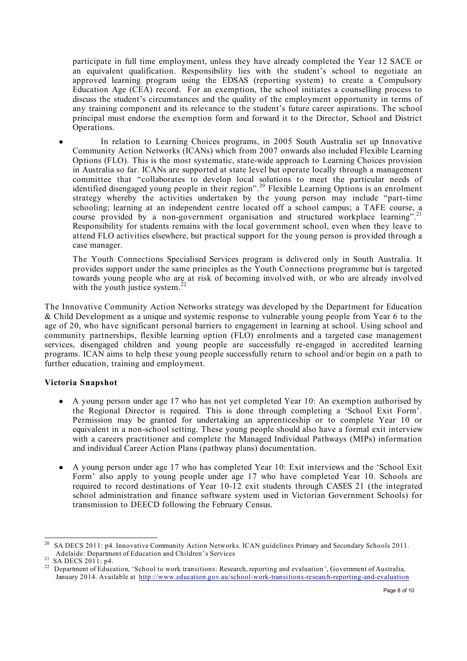participate in full time employment, unless they have already completed the Year 12 SACE or an equivalent qualification. Responsibility lies with the student's school to negotiate an approved learning program using the EDSAS (reporting system) to create a Compulsory Education Age (CEA) record. For an exemption, the school initiates a counselling process to discuss the student's circumstances and the quality of the employment opportunity in terms of any training component and its relevance to the student's future career aspirations. The school principal must endorse the exemption form and forward it to the Director, School and District Operations.

In relation to Learning Choices programs, in 2005 South Australia set up Innovative Community Action Networks (ICANs) which from 2007 onwards also included Flexible Learning Options (FLO). This is the most systematic, state-wide approach to Learning Choices provision in Australia so far. ICANs are supported at state level but operate locally through a management committee that "collaborates to develop local solutions to meet the particular needs of identified disengaged young people in their region".20 Flexible Learning Options is an enrolment strategy whereby the activities undertaken by the young person may include "part-time schooling; learning at an independent centre located off a school campus; a TAFE course, a course provided by a non-government organisation and structured workplace learning".<sup>21</sup> Responsibility for students remains with the local government school, even when they leave to attend FLO activities elsewhere, but practical support for the young person is provided through a case manager.

The Youth Connections Specialised Services program is delivered only in South Australia. It provides support under the same principles as the Youth Connections programme but is targeted towards young people who are at risk of becoming involved with, or who are already involved with the youth justice system.<sup>22</sup>

The Innovative Community Action Networks strategy was developed by the Department for Education & Child Development as a unique and systemic response to vulnerable young people from Year 6 to the age of 20, who have significant personal barriers to engagement in learning at school. Using school and community partnerships, flexible learning option (FLO) enrolments and a targeted case management services, disengaged children and young people are successfully re-engaged in accredited learning programs. ICAN aims to help these young people successfully return to school and/or begin on a path to further education, training and employment.

## **Victoria Snapshot**

- A young person under age 17 who has not yet completed Year 10: An exemption authorised by the Regional Director is required. This is done through completing a 'School Exit Form'. Permission may be granted for undertaking an apprenticeship or to complete Year 10 or equivalent in a non-school setting. These young people should also have a formal exit interview with a careers practitioner and complete the Managed Individual Pathways (MIPs) information and individual Career Action Plans (pathway plans) documentation.
- A young person under age 17 who has completed Year 10: Exit interviews and the 'School Exit Form' also apply to young people under age 17 who have completed Year 10. Schools are required to record destinations of Year 10-12 exit students through CASES 21 (the integrated school administration and finance software system used in Victorian Government Schools) for transmission to DEECD following the February Census.

<sup>&</sup>lt;sup>20</sup> SA DECS 2011: p4. Innovative Community Action Networks. ICAN guidelines Primary and Secondary Schools 2011. Adelaide: Department of Education and Children's Services

<sup>&</sup>lt;sup>21</sup> SA DECS 2011: p4.<br><sup>22</sup> Department of Education, 'School to work transitions: Research, reporting and evaluation', Government of Australia, January 2014. Available at http://www.education.gov.au/school-work-transitions-research-reporting-and-evaluation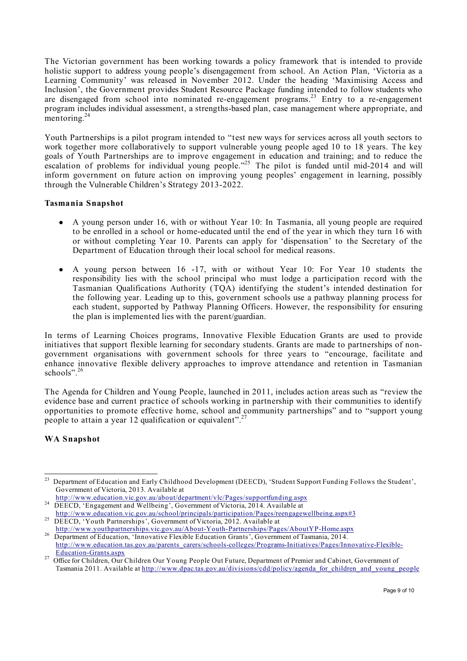The Victorian government has been working towards a policy framework that is intended to provide holistic support to address young people's disengagement from school. An Action Plan, 'Victoria as a Learning Community' was released in November 2012. Under the heading 'Maximising Access and Inclusion', the Government provides Student Resource Package funding intended to follow students who are disengaged from school into nominated re-engagement programs.<sup>23</sup> Entry to a re-engagement program includes individual assessment, a strengths-based plan, case management where appropriate, and mentoring.<sup>24</sup>

Youth Partnerships is a pilot program intended to "test new ways for services across all youth sectors to work together more collaboratively to support vulnerable young people aged 10 to 18 years. The key goals of Youth Partnerships are to improve engagement in education and training; and to reduce the escalation of problems for individual young people."<sup>25</sup> The pilot is funded until mid-2014 and will inform government on future action on improving young peoples' engagement in learning, possibly through the Vulnerable Children's Strategy 2013-2022.

#### **Tasmania Snapshot**

- A young person under 16, with or without Year 10: In Tasmania, all young people are required to be enrolled in a school or home-educated until the end of the year in which they turn 16 with or without completing Year 10. Parents can apply for 'dispensation' to the Secretary of the Department of Education through their local school for medical reasons.
- A young person between 16 -17, with or without Year 10: For Year 10 students the responsibility lies with the school principal who must lodge a participation record with the Tasmanian Qualifications Authority (TQA) identifying the student's intended destination for the following year. Leading up to this, government schools use a pathway planning process for each student, supported by Pathway Planning Officers. However, the responsibility for ensuring the plan is implemented lies with the parent/guardian.

In terms of Learning Choices programs, Innovative Flexible Education Grants are used to provide initiatives that support flexible learning for secondary students. Grants are made to partnerships of nongovernment organisations with government schools for three years to "encourage, facilitate and enhance innovative flexible delivery approaches to improve attendance and retention in Tasmanian schools".  $26$ 

The Agenda for Children and Young People, launched in 2011, includes action areas such as "review the evidence base and current practice of schools working in partnership with their communities to identify opportunities to promote effective home, school and community partnerships" and to "support young people to attain a year 12 qualification or equivalent".<sup>27</sup>

## **WA Snapshot**

<sup>&</sup>lt;sup>23</sup> Department of Education and Early Childhood Development (DEECD), 'Student Support Funding Follows the Student', Government of Victoria, 2013. Available at http://www.education.vic.gov.au/about/department/vlc/Pages/supportfunding.aspx

 $\frac{\text{http://www.weulcaation.vice.g.}, \text{a}w\text{ was a computer}}{\text{DEECD}}$ , 'Engagement and Wellbeing', Government of Victoria, 2014. Available at

http://www.education.vic.gov.au/school/principals/participation/Pages/reengagewellbeing.aspx#3<br>DEECD, 'Youth Partnerships', Government of Victoria, 2012. Available at<br>http://www.youthpartnerships.vic.gov.au/About-Youth-Par

<sup>&</sup>lt;sup>26</sup> Department of Education, 'Innovative Flexible Education Grants', Government of Tasmania, 2014. http://www.education.tas.gov.au/parents\_carers/schools-colleges/Programs-Initiatives/Pages/Innovative-Flexible-<br>Education-Grants.aspx

<sup>&</sup>lt;sup>27</sup> Office for Children, Our Children Our Young People Out Future, Department of Premier and Cabinet, Government of Tasmania 2011. Available at http://www.dpac.tas.gov.au/divisions/cdd/policy/agenda\_for\_children\_and\_young\_people